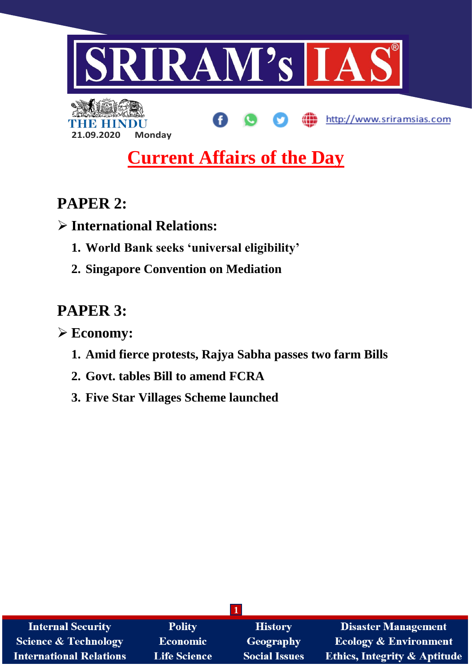

# **Current Affairs of the Day**

## **PAPER 2:**

**International Relations:**

- **1. World Bank seeks 'universal eligibility'**
- **2. Singapore Convention on Mediation**

## **PAPER 3:**

**Economy:**

- **1. Amid fierce protests, Rajya Sabha passes two farm Bills**
- **2. Govt. tables Bill to amend FCRA**
- **3. Five Star Villages Scheme launched**

| <b>Internal Security</b>        | <b>Polity</b> | <b>History</b>       | <b>Disaster Management</b>              |
|---------------------------------|---------------|----------------------|-----------------------------------------|
| <b>Science &amp; Technology</b> | Economic      | <b>Geography</b>     | <b>Ecology &amp; Environment</b>        |
| <b>International Relations</b>  | Life Science  | <b>Social Issues</b> | <b>Ethics, Integrity &amp; Aptitude</b> |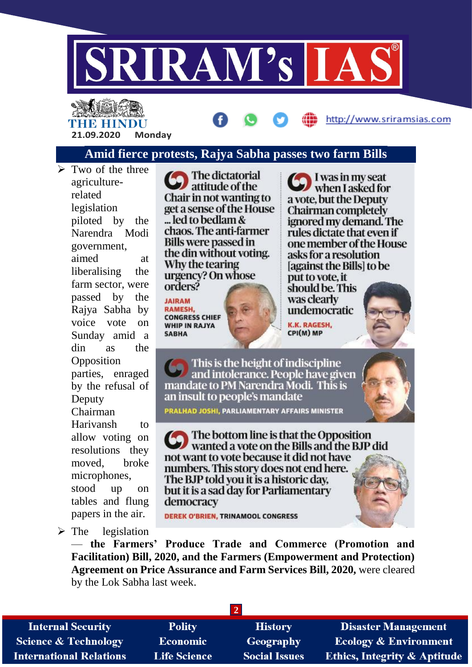

# THE HINDU **21.09.2020 Monday**

## http://www.sriramsias.com

### **Amid fierce protests, Rajya Sabha passes two farm Bills**

 $\triangleright$  Two of the three agriculturerelated legislation piloted by the Narendra Modi government, aimed at liberalising the farm sector, were passed by the Rajya Sabha by voice vote on Sunday amid a din as the Opposition parties, enraged by the refusal of Deputy Chairman Harivansh to allow voting on resolutions they moved, broke microphones, stood up on tables and flung papers in the air.

The dictatorial attitude of the Chair in not wanting to get a sense of the House ... led to bedlam & chaos. The anti-farmer **Bills were passed in** the din without voting. Why the tearing urgency? On whose orders?

**JAIRAM RAMESH. CONGRESS CHIEF WHIP IN RAJYA SABHA** 

I was in my seat when I asked for a vote, but the Deputy Chairman completely ignored my demand. The rules dictate that even if one member of the House asks for a resolution [against the Bills] to be put to vote, it

should be. This was clearly undemocratic

**K.K. RAGESH,** CPI(M) MP

This is the height of indiscipline and intolerance. People have given mandate to PM Narendra Modi. This is an insult to people's mandate PRALHAD JOSHI, PARLIAMENTARY AFFAIRS MINISTER



The bottom line is that the Opposition wanted a vote on the Bills and the BJP did not want to vote because it did not have numbers. This story does not end here. The BJP told you it is a historic day, but it is a sad day for Parliamentary democracy

**DEREK O'BRIEN, TRINAMOOL CONGRESS** 

 $\triangleright$  The legislation

— **the Farmers' Produce Trade and Commerce (Promotion and Facilitation) Bill, 2020, and the Farmers (Empowerment and Protection) Agreement on Price Assurance and Farm Services Bill, 2020,** were cleared by the Lok Sabha last week.

**2**

**Internal Security Science & Technology International Relations** 

**Polity Economic Life Science** 

**History** Geography **Social Issues** 

**Disaster Management Ecology & Environment Ethics, Integrity & Aptitude**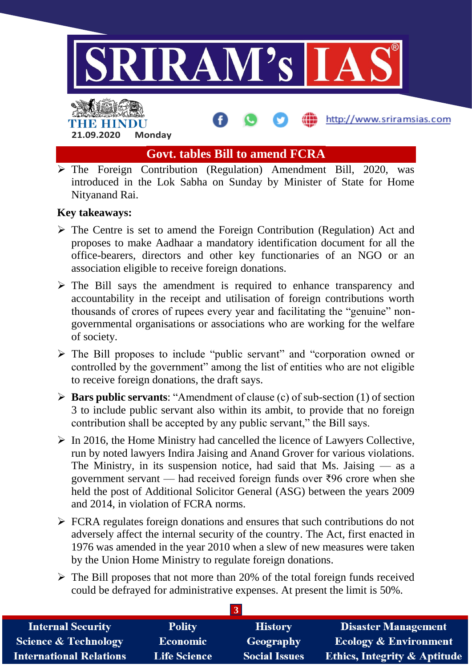

**Govt. tables Bill to amend FCRA**

 $\triangleright$  The Foreign Contribution (Regulation) Amendment Bill, 2020, was introduced in the Lok Sabha on Sunday by Minister of State for Home Nityanand Rai.

#### **Key takeaways:**

**21.09.2020 Monday**

- $\triangleright$  The Centre is set to amend the Foreign Contribution (Regulation) Act and proposes to make Aadhaar a mandatory identification document for all the office-bearers, directors and other key functionaries of an NGO or an association eligible to receive foreign donations.
- $\triangleright$  The Bill says the amendment is required to enhance transparency and accountability in the receipt and utilisation of foreign contributions worth thousands of crores of rupees every year and facilitating the "genuine" nongovernmental organisations or associations who are working for the welfare of society.
- $\triangleright$  The Bill proposes to include "public servant" and "corporation owned or controlled by the government" among the list of entities who are not eligible to receive foreign donations, the draft says.
- **Bars public servants**: "Amendment of clause (c) of sub-section (1) of section 3 to include public servant also within its ambit, to provide that no foreign contribution shall be accepted by any public servant," the Bill says.
- $\triangleright$  In 2016, the Home Ministry had cancelled the licence of Lawyers Collective, run by noted lawyers Indira Jaising and Anand Grover for various violations. The Ministry, in its suspension notice, had said that Ms. Jaising  $\frac{1}{1}$  as a government servant — had received foreign funds over ₹96 crore when she held the post of Additional Solicitor General (ASG) between the years 2009 and 2014, in violation of FCRA norms.
- $\triangleright$  FCRA regulates foreign donations and ensures that such contributions do not adversely affect the internal security of the country. The Act, first enacted in 1976 was amended in the year 2010 when a slew of new measures were taken by the Union Home Ministry to regulate foreign donations.
- $\triangleright$  The Bill proposes that not more than 20% of the total foreign funds received could be defrayed for administrative expenses. At present the limit is 50%.

| <b>Internal Security</b>        | <b>Polity</b>       | <b>History</b>       | <b>Disaster Management</b>              |
|---------------------------------|---------------------|----------------------|-----------------------------------------|
| <b>Science &amp; Technology</b> | <b>Economic</b>     | Geography            | <b>Ecology &amp; Environment</b>        |
| <b>International Relations</b>  | <b>Life Science</b> | <b>Social Issues</b> | <b>Ethics, Integrity &amp; Aptitude</b> |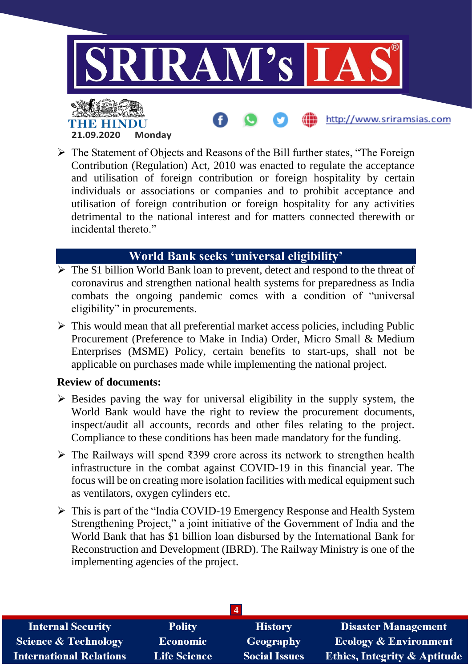

 $\triangleright$  The Statement of Objects and Reasons of the Bill further states, "The Foreign" Contribution (Regulation) Act, 2010 was enacted to regulate the acceptance and utilisation of foreign contribution or foreign hospitality by certain individuals or associations or companies and to prohibit acceptance and utilisation of foreign contribution or foreign hospitality for any activities detrimental to the national interest and for matters connected therewith or incidental thereto."

#### **World Bank seeks 'universal eligibility'**

- $\triangleright$  The \$1 billion World Bank loan to prevent, detect and respond to the threat of coronavirus and strengthen national health systems for preparedness as India combats the ongoing pandemic comes with a condition of "universal eligibility" in procurements.
- $\triangleright$  This would mean that all preferential market access policies, including Public Procurement (Preference to Make in India) Order, Micro Small & Medium Enterprises (MSME) Policy, certain benefits to start-ups, shall not be applicable on purchases made while implementing the national project.

#### **Review of documents:**

- $\triangleright$  Besides paving the way for universal eligibility in the supply system, the World Bank would have the right to review the procurement documents, inspect/audit all accounts, records and other files relating to the project. Compliance to these conditions has been made mandatory for the funding.
- The Railways will spend ₹399 crore across its network to strengthen health infrastructure in the combat against COVID-19 in this financial year. The focus will be on creating more isolation facilities with medical equipment such as ventilators, oxygen cylinders etc.
- This is part of the "India COVID-19 Emergency Response and Health System Strengthening Project," a joint initiative of the Government of India and the World Bank that has \$1 billion loan disbursed by the International Bank for Reconstruction and Development (IBRD). The Railway Ministry is one of the implementing agencies of the project.

| <b>Internal Security</b>        | <b>Polity</b>       | <b>History</b>       | <b>Disaster Management</b>       |
|---------------------------------|---------------------|----------------------|----------------------------------|
| <b>Science &amp; Technology</b> | <b>Economic</b>     | Geography            | <b>Ecology &amp; Environment</b> |
| <b>International Relations</b>  | <b>Life Science</b> | <b>Social Issues</b> | Ethics, Integrity & Aptitude     |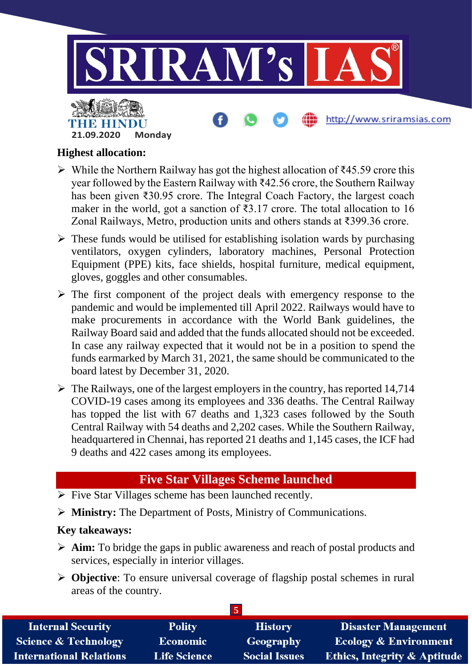

#### **Highest allocation:**

- While the Northern Railway has got the highest allocation of ₹45.59 crore this year followed by the Eastern Railway with ₹42.56 crore, the Southern Railway has been given ₹30.95 crore. The Integral Coach Factory, the largest coach maker in the world, got a sanction of ₹3.17 crore. The total allocation to 16 Zonal Railways, Metro, production units and others stands at ₹399.36 crore.
- $\triangleright$  These funds would be utilised for establishing isolation wards by purchasing ventilators, oxygen cylinders, laboratory machines, Personal Protection Equipment (PPE) kits, face shields, hospital furniture, medical equipment, gloves, goggles and other consumables.
- $\triangleright$  The first component of the project deals with emergency response to the pandemic and would be implemented till April 2022. Railways would have to make procurements in accordance with the World Bank guidelines, the Railway Board said and added that the funds allocated should not be exceeded. In case any railway expected that it would not be in a position to spend the funds earmarked by March 31, 2021, the same should be communicated to the board latest by December 31, 2020.
- $\triangleright$  The Railways, one of the largest employers in the country, has reported 14,714 COVID-19 cases among its employees and 336 deaths. The Central Railway has topped the list with 67 deaths and 1,323 cases followed by the South Central Railway with 54 deaths and 2,202 cases. While the Southern Railway, headquartered in Chennai, has reported 21 deaths and 1,145 cases, the ICF had 9 deaths and 422 cases among its employees.

### **Five Star Villages Scheme launched**

- $\triangleright$  Five Star Villages scheme has been launched recently.
- **Ministry:** The Department of Posts, Ministry of Communications.

#### **Key takeaways:**

- **Aim:** To bridge the gaps in public awareness and reach of postal products and services, especially in interior villages.
- **Objective**: To ensure universal coverage of flagship postal schemes in rural areas of the country.

| <b>Internal Security</b>        | <b>Polity</b>       | <b>History</b>       | <b>Disaster Management</b>              |
|---------------------------------|---------------------|----------------------|-----------------------------------------|
| <b>Science &amp; Technology</b> | <b>Economic</b>     | Geography            | <b>Ecology &amp; Environment</b>        |
| <b>International Relations</b>  | <b>Life Science</b> | <b>Social Issues</b> | <b>Ethics, Integrity &amp; Aptitude</b> |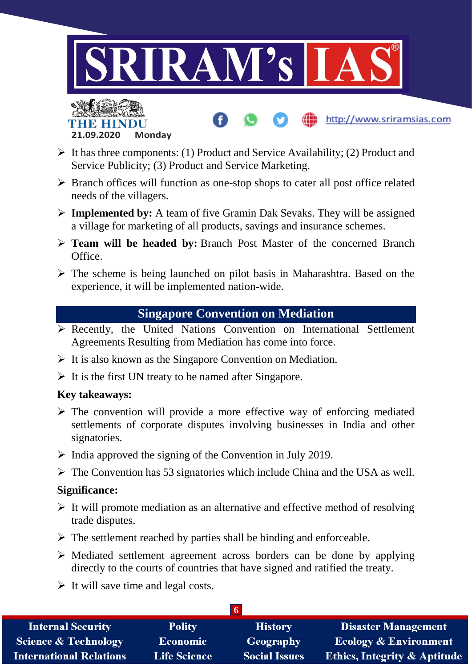

http://www.sriramsias.com



- $\triangleright$  It has three components: (1) Product and Service Availability; (2) Product and Service Publicity; (3) Product and Service Marketing.
- $\triangleright$  Branch offices will function as one-stop shops to cater all post office related needs of the villagers.
- **Implemented by:** A team of five Gramin Dak Sevaks. They will be assigned a village for marketing of all products, savings and insurance schemes.
- **Team will be headed by:** Branch Post Master of the concerned Branch Office.
- $\triangleright$  The scheme is being launched on pilot basis in Maharashtra. Based on the experience, it will be implemented nation-wide.

### **Singapore Convention on Mediation**

- $\triangleright$  Recently, the United Nations Convention on International Settlement Agreements Resulting from Mediation has come into force.
- $\triangleright$  It is also known as the Singapore Convention on Mediation.
- $\triangleright$  It is the first UN treaty to be named after Singapore.

#### **Key takeaways:**

- $\triangleright$  The convention will provide a more effective way of enforcing mediated settlements of corporate disputes involving businesses in India and other signatories.
- $\triangleright$  India approved the signing of the Convention in July 2019.
- $\triangleright$  The Convention has 53 signatories which include China and the USA as well.

#### **Significance:**

- $\triangleright$  It will promote mediation as an alternative and effective method of resolving trade disputes.
- $\triangleright$  The settlement reached by parties shall be binding and enforceable.
- $\triangleright$  Mediated settlement agreement across borders can be done by applying directly to the courts of countries that have signed and ratified the treaty.
- $\triangleright$  It will save time and legal costs.

| <b>Internal Security</b>        | <b>Polity</b>       | <b>History</b>       | <b>Disaster Management</b>              |  |
|---------------------------------|---------------------|----------------------|-----------------------------------------|--|
| <b>Science &amp; Technology</b> | <b>Economic</b>     | Geography            | <b>Ecology &amp; Environment</b>        |  |
| <b>International Relations</b>  | <b>Life Science</b> | <b>Social Issues</b> | <b>Ethics, Integrity &amp; Aptitude</b> |  |